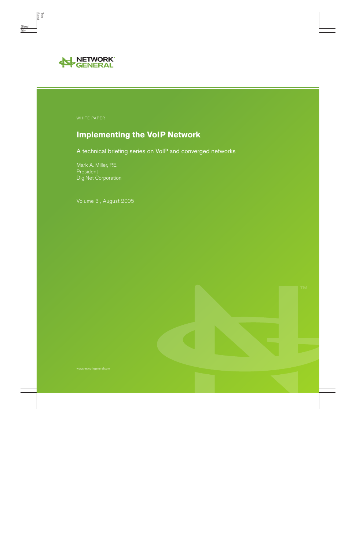

A technical briefing series on VoIP and converged networks

Mark A. Miller, P.E. President DigiNet Corporation

Volume 3 , August 2005

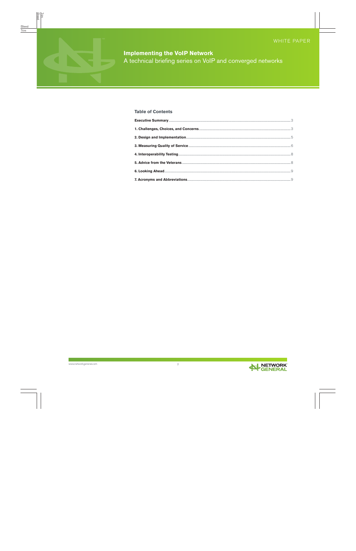#### **Table of Contents**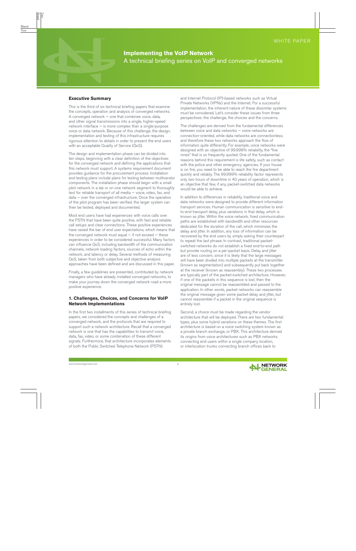#### **Executive Summary**

This is the third of six technical briefing papers that examine the concepts, operation and analysis of converged networks. A converged network  $-$  one that combines voice, data, and other signal transmissions into a single, higher-speed network interface — is more complex than a single-purpose voice or data network. Because of this challenge, the design, implementation and testing of this infrastructure requires rigorous attention to details in order to present the end users with an acceptable Quality of Service (QoS).

The design and implementation phase can be divided into ten steps, beginning with a clear definition of the objectives for the converged network and defining the applications that this network must support. A systems requirement document provides guidance for the procurement process. Installation and testing plans include plans for testing between multivendor components. The installation phase should begin with a small pilot network in a lab or on one network segment to thoroughly test for reliable transport of all media — voice, video, fax, and data — over the converged infrastructure. Once the operation of the pilot program has been verified, the larger system can then be tested, deployed and documented.

Most end users have had experiences with voice calls over the PSTN that have been quite positive, with fast and reliable call setups and clear connections. These positive experiences have raised the bar of end user expectations, which means that the converged network must equal  $-$  if not exceed  $-$  these experiences in order to be considered successful. Many factors can influence QoS, including bandwidth of the communication channels, network loading factors, sources of echo within the network, and latency or delay. Several methods of measuring QoS, taken from both subjective and objective analysis approaches have been defined and are discussed in this paper.

Finally, a few guidelines are presented, contributed by network managers who have already installed converged networks, to make your journey down the converged network road a more positive experience.

#### **1. Challenges, Choices, and Concerns for VoIP Network Implementations**

In the first two installments of this series of technical briefing papers, we considered the concepts and challenges of a converged network, and the protocols that are required to support such a network architecture. Recall that a converged network is one that has the capabilities to transmit voice, data, fax, video, or some combination of these different signals. Furthermore, that architecture incorporates elements of both the Public Switched Telephone Network (PSTN)

and Internet Protocol (IP)-based networks such as Virtual Private Networks (VPNs) and the Internet. For a successful implementation, the inherent nature of these dissimilar systems must be considered. Let's consider these issues from three perspectives: the challenge, the choices and the concerns.

The challenges are derived from the fundamental differences between voice and data networks — voice networks are connection-oriented, while data networks are connectionless; and therefore these two networks approach the flow of information quite differently. For example, voice networks were designed with an objective of 99.999% reliability, the "five nines" that is so frequently quoted. One of the fundamental reasons behind this requirement is life safety, such as contact with the police and other emergency agencies. If your house is on fire, you need to be able to reach the fire department quickly and reliably. The 99.999% reliability factor represents only two hours of downtime in 40 years of operation, which is an objective that few, if any, packet-switched data networks would be able to achieve.

In addition to differences in reliability, traditional voice and data networks were designed to provide different information transport services. Human communication is sensitive to endto-end transport delay, plus variations in that delay, which is known as jitter. Within the voice network, fixed communication paths are established with bandwidth and other resources dedicated for the duration of the call, which minimizes the delay and jitter. In addition, any loss of information can be recovered by the end users by simply asking their counterpart to repeat the last phrase. In contrast, traditional packetswitched networks do not establish a fixed end-to-end path but provide routing on a per-packet basis. Delay and jitter are of less concern, since it is likely that the large messages will have been divided into multiple packets at the transmitter (known as segmentation) and subsequently put back together at the receiver (known as reassembly). These two processes are typically part of the packet-switched architecture. However, if one of the packets in this sequence is lost, then the original message cannot be reassembled and passed to the application. In other words, packet networks can reassemble the original message given some packet delay and jitter, but cannot reassemble if a packet in the original sequence is entirely lost.

Second, a choice must be made regarding the vendor architecture that will be deployed. There are two fundamental types, plus some hybrid variations on these themes. The first architecture is based on a voice switching system known as a private branch exchange, or PBX. This architecture derived its origins from voice architectures such as PBX networks connecting end users within a single company location, or interlocation trunks connecting branch offices back to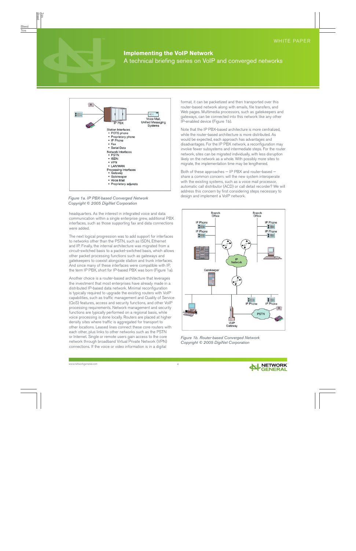

*Figure 1a. IP PBX-based Converged Network Copyright © 2005 DigiNet Corporation*

headquarters. As the interest in integrated voice and data communication within a single enterprise grew, additional PBX interfaces, such as those supporting fax and data connections were added.

The next logical progression was to add support for interfaces to networks other than the PSTN, such as ISDN, Ethernet and IP. Finally, the internal architecture was migrated from a circuit-switched basis to a packet-switched basis, which allows other packet processing functions such as gateways and gatekeepers to coexist alongside station and trunk interfaces. And since many of these interfaces were compatible with IP, the term IP PBX, short for IP-based PBX was born (Figure 1a).

Another choice is a router-based architecture that leverages the investment that most enterprises have already made in a distributed IP-based data network. Minimal reconfiguration is typically required to upgrade the existing routers with VoIP capabilities, such as traffic management and Quality of Service (QoS) features, access and security functions, and other VoIP processing requirements. Network management and security functions are typically performed on a regional basis, while voice processing is done locally. Routers are placed at higher density sites where traffic is aggregated for transport to other locations. Leased lines connect these core routers with each other, plus links to other networks such as the PSTN or Internet. Single or remote users gain access to the core network through broadband Virtual Private Network (VPN) connections. If the voice or video information is in a digital

format, it can be packetized and then transported over this router-based network along with emails, file transfers, and Web pages. Multimedia processors, such as gatekeepers and gateways, can be connected into this network like any other IP-enabled device (Figure 1b).

Note that the IP PBX-based architecture is more centralized, while the router-based architecture is more distributed. As would be expected, each approach has advantages and disadvantages. For the IP PBX network, a reconfiguration may involve fewer subsystems and intermediate steps. For the router network, sites can be migrated individually, with less disruption likely on the network as a whole. With possibly more sites to migrate, the implementation time may be lengthened.

Both of these approaches — IP PBX and router-based share a common concern: will the new system interoperate with the existing systems, such as a voice mail processor, automatic call distributor (ACD) or call detail recorder? We will address this concern by first considering steps necessary to design and implement a VoIP network.



*Figure 1b. Router-based Converged Network Copyright © 2005 DigiNet Corporation*

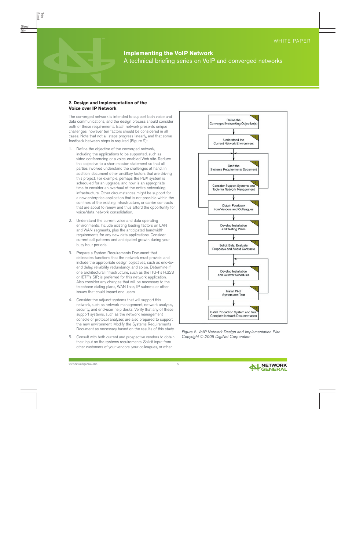A technical briefing series on VoIP and converged networks

#### **2. Design and Implementation of the Voice over IP Network**

The converged network is intended to support both voice and data communications, and the design process should consider both of these requirements. Each network presents unique challenges, however ten factors should be considered in all cases. Note that not all steps progress linearly, and that some feedback between steps is required (Figure 2):

- 1. Define the objective of the converged network, including the applications to be supported, such as video conferencing or a voice-enabled Web site. Reduce this objective to a short mission statement so that all parties involved understand the challenges at hand. In addition, document other ancillary factors that are driving this project. For example, perhaps the PBX system is scheduled for an upgrade, and now is an appropriate time to consider an overhaul of the entire networking infrastructure. Other circumstances might be support for a new enterprise application that is not possible within the confines of the existing infrastructure, or carrier contracts that are about to renew and thus afford the opportunity for voice/data network consolidation.
- 2. Understand the current voice and data operating environments. Include existing loading factors on LAN and WAN segments, plus the anticipated bandwidth requirements for any new data applications. Consider current call patterns and anticipated growth during your busy hour periods.
- 3. Prepare a System Requirements Document that delineates functions that the network must provide, and include the appropriate design objectives, such as end-toend delay, reliability, redundancy, and so on. Determine if one architectural infrastructure, such as the ITU-T's H.323 or IETF's SIP, is preferred for this network application. Also consider any changes that will be necessary to the telephone dialing plans, WAN links, IP subnets or other issues that could impact end users.
- 4. Consider the adjunct systems that will support this network, such as network management, network analysis, security, and end-user help desks. Verify that any of these support systems, such as the network management console or protocol analyzer, are also prepared to support the new environment. Modify the Systems Requirements Document as necessary based on the results of this study.
- 5. Consult with both current and prospective vendors to obtain their input on the systems requirements. Solicit input from other customers of your vendors, your colleagues, or other



*Figure 2. VoIP Network Design and Implementation Plan Copyright © 2005 DigiNet Corporation*

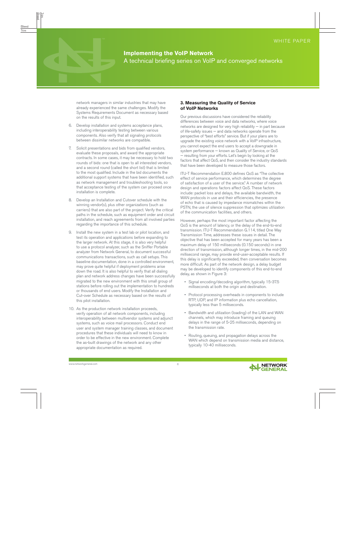network managers in similar industries that may have already experienced the same challenges. Modify the Systems Requirements Document as necessary based on the results of this input.

- 6. Develop installation and systems acceptance plans, including interoperability testing between various components. Also verify that all signaling protocols between dissimilar networks are compatible.
- 7. Solicit presentations and bids from qualified vendors, evaluate these proposals, and award the appropriate contracts. In some cases, it may be necessary to hold two rounds of bids: one that is open to all interested vendors, and a second round (called the short list) that is limited to the most qualified. Include in the bid documents the additional support systems that have been identified, such as network management and troubleshooting tools, so that acceptance testing of the system can proceed once installation is complete.
- 8. Develop an Installation and Cutover schedule with the winning vendor(s), plus other organizations (such as carriers) that are also part of the project. Verify the critical paths in the schedule, such as equipment order and circuit installation, and reach agreements from all involved parties regarding the importance of this schedule.
- 9. Install the new system in a test lab or pilot location, and test its operation and applications before expanding to the larger network. At this stage, it is also very helpful to use a protocol analyzer, such as the Sniffer Portable analyzer from Network General, to document successful communications transactions, such as call setups. This baseline documentation, done in a controlled environment, may prove quite helpful if deployment problems arise down the road. It is also helpful to verify that all dialing plan and network address changes have been successfully migrated to the new environment with this small group of stations before rolling out the implementation to hundreds or thousands of end users. Modify the Installation and Cut-over Schedule as necessary based on the results of this pilot installation.
- 10. As the production network installation proceeds, verify operation of all network components, including interoperability between multivendor systems and adjunct systems, such as voice mail processors. Conduct end user and system manager training classes, and document procedures that these individuals will need to know in order to be effective in the new environment. Complete the as-built drawings of the network and any other appropriate documentation as required.

#### **3. Measuring the Quality of Service of VoIP Networks**

Our previous discussions have considered the reliability differences between voice and data networks, where voice networks are designed for very high reliability — in part because of life-safety issues — and data networks operate from the perspective of "best efforts" service. But if your plans are to upgrade the existing voice network with a VoIP infrastructure, you cannot expect the end users to accept a downgrade in system performance — known as Quality of Service, or QoS — resulting from your efforts. Let's begin by looking at the factors that affect QoS, and then consider the industry standards that have been developed to measure those factors.

ITU-T Recommendation E.800 defines QoS as "The collective effect of service performance, which determines the degree of satisfaction of a user of the service." A number of network design and operations factors affect QoS. These factors include: packet loss and delays, the available bandwidth, the WAN protocols in use and their efficiencies, the presence of echo that is caused by impedance mismatches within the PSTN, the use of silence suppression that optimizes utilization of the communication facilities, and others.

However, perhaps the most important factor affecting the QoS is the amount of latency, or the delay of the end-to-end transmission. ITU-T Recommendation G.114, titled One Way Transmission Time, addresses these issues in detail. The objective that has been accepted for many years has been a maximum delay of 150 milliseconds (0.150 seconds) in one direction of transmission, although longer times, in the mid-200 millisecond range, may provide end-user-acceptable results. If this delay is significantly exceeded, then conversation becomes more difficult. As part of the network design, a delay budget may be developed to identify components of this end-to-end delay, as shown in Figure 3:

- Signal encoding/decoding algorithm, typically 15-37.5 milliseconds at both the origin and destination.
- Protocol processing overheads in components to include RTP, UDP, and IP information plus echo cancellation, typically less than 5 milliseconds.
- Bandwidth and utilization (loading) of the LAN and WAN channels, which may introduce framing and queuing delays in the range of 5-25 milliseconds, depending on the transmission rate.
- Routing, queuing, and propagation delays across the WAN which depend on transmission media and distance, typically 10-40 milliseconds.

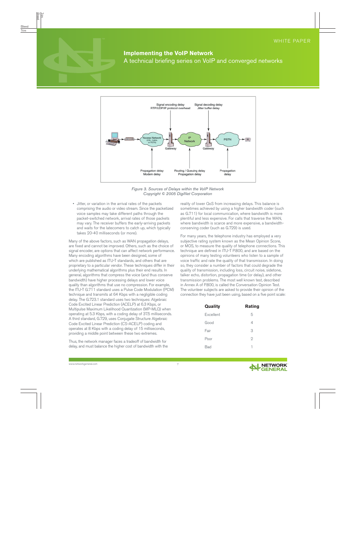A technical briefing series on VoIP and converged networks



*Figure 3. Sources of Delays within the VoIP Network Copyright © 2005 DigiNet Corporation*

• Jitter, or variation in the arrival rates of the packets comprising the audio or video stream. Since the packetized voice samples may take different paths through the packet-switched network, arrival rates of those packets may vary. The receiver buffers the early-arriving packets and waits for the latecomers to catch up, which typically takes 20-40 milliseconds (or more).

Many of the above factors, such as WAN propagation delays, are fixed and cannot be improved. Others, such as the choice of signal encoder, are options that can affect network performance. Many encoding algorithms have been designed, some of which are published as ITU-T standards, and others that are proprietary to a particular vendor. These techniques differ in their underlying mathematical algorithms plus their end results. In general, algorithms that compress the voice (and thus conserve bandwidth) have higher processing delays and lower voice quality than algorithms that use no compression. For example, the ITU-T G.711 standard uses a Pulse Code Modulation (PCM) technique and transmits at 64 Kbps with a negligible coding delay. The G.723.1 standard uses two techniques: Algebraic Code Excited Linear Prediction (ACELP) at 6.3 Kbps, or Multipulse Maximum Likelihood Quantization (MP-MLQ) when operating at 5.3 Kbps, with a coding delay of 37.5 milliseconds. A third standard, G.729, uses Conjugate Structure Algebraic Code Excited Linear Prediction (CS-ACELP) coding and operates at 8 Kbps with a coding delay of 15 milliseconds, providing a middle point between these two extremes.

Thus, the network manager faces a tradeoff of bandwidth for delay, and must balance the higher cost of bandwidth with the reality of lower QoS from increasing delays. This balance is sometimes achieved by using a higher bandwidth coder (such as G.711) for local communication, where bandwidth is more plentiful and less expensive. For calls that traverse the WAN, where bandwidth is scarce and more expensive, a bandwidthconserving coder (such as G.729) is used.

For many years, the telephone industry has employed a very subjective rating system known as the Mean Opinion Score, or MOS, to measure the quality of telephone connections. This technique are defined in ITU-T P.800, and are based on the opinions of many testing volunteers who listen to a sample of voice traffic and rate the quality of that transmission. In doing so, they consider a number of factors that could degrade the quality of transmission, including loss, circuit noise, sidetone, talker echo, distortion, propagation time (or delay), and other transmission problems. The most well known test, described in Annex A of P.800, is called the Conversation Opinion Test. The volunteer subjects are asked to provide their opinion of the connection they have just been using, based on a five point scale:

| <b>Quality</b>   | <b>Rating</b> |
|------------------|---------------|
| <b>Excellent</b> | 5             |
| Good             | 4             |
| Fair             | 3             |
| Poor             | 2             |
| Rad              | 1             |

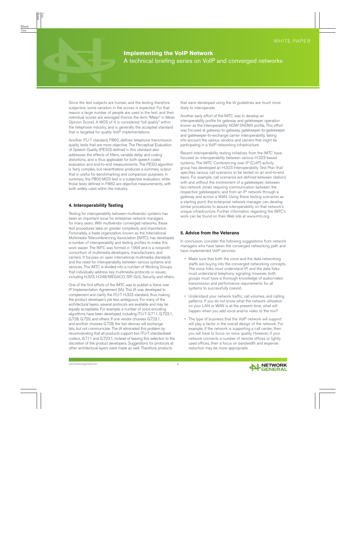Since the test subjects are human, and the testing therefore subjective, some variation in the scores is expected. For that reason a large number of people are used in the test, and their individual scores are averaged (hence the term "Mean" in Mean Opinion Score). A MOS of 4 is considered "toll quality" within the telephone industry, and is generally the accepted standard that is targeted for quality VoIP implementations.

Another ITU-T standard, P.862, defines telephone transmission quality tests that are more objective. The Perceptual Evaluation of Speech Quality (PESQ) defined in this standard also addresses the effects of filters, variable delay and coding distortions, and is thus applicable for both speech codec evaluation and end-to-end measurements. The PESQ algorithm is fairly complex, but nevertheless produces a summary output that is useful for benchmarking and comparison purposes. In summary, the P.800 MOS test is a subjective evaluation, while those tests defined in P.862 are objective measurements, with both widely used within the industry.

#### **4. Interoperability Testing**

Testing for interoperability between multivendor systems has been an important issue for enterprise network managers for many years. With multivendor converged networks, these test procedures take on greater complexity and importance. Fortunately, a trade organization, known as the International Multimedia Teleconferencing Association (IMTC), has developed a number of interoperability and testing profiles to make this work easier. The IMTC was formed in 1994 and is a nonprofit consortium of multimedia developers, manufacturers, and carriers. It focuses on open international multimedia standards and the need for interoperability between various systems and services. The IMTC is divided into a number of Working Groups that individually address key multimedia protocols or issues, including H.323, H.248/MEGACO, SIP, QoS, Security, and others.

One of the first efforts of the IMTC was to publish a Voice over IP Implementation Agreement (IA). This IA was developed to complement and clarify the ITU-T H.323 standard, thus making the product developer's job less ambiguous. For many of the architectural layers, several protocols are available and may be equally acceptable. For example, a number of voice encoding algorithms have been developed, including ITU-T G.711, G.723.1, G.728, G.729, and others. If one vendor chooses G.723.1, and another chooses G.728, the two devices will exchange bits, but not communicate. The IA eliminated this problem by recommending that all products support two ITU-T standardized codecs, G.711 and G.723.1, instead of leaving this selection to the discretion of the product developers. Suggestions for protocols at other architectural layers were made as well. Therefore, products

that were developed using the IA guidelines are much more likely to interoperate.

Another early effort of the IMTC was to develop an interoperability profile for gateway and gatekeeper operation known as the Interoperability NOW! (iNOW!) profile. This effort was focused at gateway-to-gateway, gatekeeper-to-gatekeeper and gatekeeper-to-exchange carrier interoperability, taking into account the various vendors and carriers that might be participating in a VoIP networking infrastructure.

Recent interoperability testing initiatives from the IMTC have focused on interoperability between various H.323-based systems. The IMTC Conferencing over IP (CoIP) activity group has developed an H.323 Interoperability Test Plan that specifies various call scenarios to be tested on an end-to-end basis. For example, call scenarios are defined between stations with and without the involvement of a gatekeeper; between two network zones requiring communication between the respective gatekeepers; and from an IP network through a gateway and across a WAN. Using these testing scenarios as a starting point, the enterprise network manager can develop similar procedures to assure interoperability on that network's unique infrastructure. Further information regarding the IMTC's work can be found on their Web site at www.imtc.org.

#### **5. Advice from the Veterans**

In conclusion, consider the following suggestions from network managers who have taken the converged networking path and have implemented VoIP services:

- Make sure that both the voice and the data networking staffs are buying into the converged networking concepts. The voice folks must understand IP, and the data folks must understand telephony signaling; however, both groups must have a thorough knowledge of audio/video transmission and performance requirements for all systems to successfully coexist.
- Understand your network traffic, call volumes, and calling patterns. If you do not know what the network utilization on your LAN or WAN is at the present time, what will happen when you add voice and/or video to the mix?
- The type of business that the VoIP network will support will play a factor in the overall design of the network. For example, if the network is supporting a call center, then you will have to focus on voice quality. However, if your network connects a number of remote offices or lightly used offices, then a focus on bandwidth and expense reduction may be more appropriate.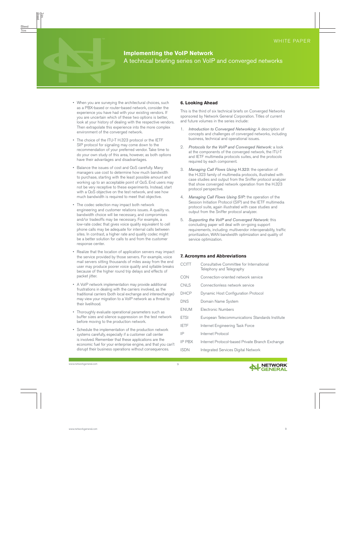A technical briefing series on VoIP and converged networks

- When you are surveying the architectural choices, such as a PBX-based or router-based network, consider the experience you have had with your existing vendors. If you are uncertain which of these two options is better, look at your history of dealing with the respective vendors. Then extrapolate this experience into the more complex environment of the converged network.
- The choice of the ITU-T H.323 protocol or the IETF SIP protocol for signaling may come down to the recommendation of your preferred vendor. Take time to do your own study of this area, however, as both options have their advantages and disadvantages.
- Balance the issues of cost and QoS carefully. Many managers use cost to determine how much bandwidth to purchase, starting with the least possible amount and working up to an acceptable point of QoS. End users may not be very receptive to these experiments. Instead, start with a QoS objective on the test network, and see how much bandwidth is required to meet that objective.
- The codec selection may impact both network engineering and customer relations issues. A quality vs. bandwidth choice will be necessary, and compromises and/or tradeoffs may be necessary. For example, a low-rate codec that gives voice quality equivalent to cell phone calls may be adequate for internal calls between sites. In contrast, a higher rate and quality codec might be a better solution for calls to and from the customer response center.
- Realize that the location of application servers may impact the service provided by those servers. For example, voice mail servers sitting thousands of miles away from the end user may produce poorer voice quality and syllable breaks because of the higher round trip delays and effects of packet jitter.
- A VoIP network implementation may provide additional frustrations in dealing with the carriers involved, as the traditional carriers (both local exchange and interexchange) may view your migration to a VoIP network as a threat to their livelihood.
- Thoroughly evaluate operational parameters such as buffer sizes and silence suppression on the test network before moving to the production network.
- Schedule the implementation of the production network systems carefully, especially if a customer call center is involved. Remember that these applications are the economic fuel for your enterprise engine, and that you can't disrupt their business operations without consequences.

### **6. Looking Ahead**

This is the third of six technical briefs on Converged Networks sponsored by Network General Corporation. Titles of current and future volumes in the series include:

- 1. *Introduction to Converged Networking:* A description of concepts and challenges of converged networks, including business, technical and operational issues.
- 2. *Protocols for the VoIP and Converged Network:* a look at the components of the converged network, the ITU-T and IETF multimedia protocols suites, and the protocols required by each component.
- 3. *Managing Call Flows Using H.323:* the operation of the H.323 family of multimedia protocols, illustrated with case studies and output from the Sniffer protocol analyzer that show converged network operation from the H.323 protocol perspective.
- 4. *Managing Call Flows Using SIP:* the operation of the Session Initiation Protocol (SIP) and the IETF multimedia protocol suite, again illustrated with case studies and output from the Sniffer protocol analyzer.
- 5. *Supporting the VoIP and Converged Network:* this concluding paper will deal with on-going support requirements, including: multivendor interoperability, traffic prioritization, WAN bandwidth optimization and quality of service optimization.

#### **7. Acronyms and Abbreviations**

| CCITT         | Consultative Committee for International<br>Telephony and Telegraphy |
|---------------|----------------------------------------------------------------------|
| <b>CON</b>    | Connection-oriented network service                                  |
| CNLS          | Connectionless network service                                       |
| DHCP          | Dynamic Host Configuration Protocol                                  |
| <b>DNS</b>    | Domain Name System                                                   |
| <b>ENUM</b>   | Electronic Numbers                                                   |
| <b>ETSI</b>   | European Telecommunications Standards Institute                      |
| <b>IETF</b>   | Internet Engineering Task Force                                      |
| ΙP            | Internet Protocol                                                    |
| <b>IP PBX</b> | Internet Protocol-based Private Branch Exchange                      |
| ISDN          | Integrated Services Digital Network                                  |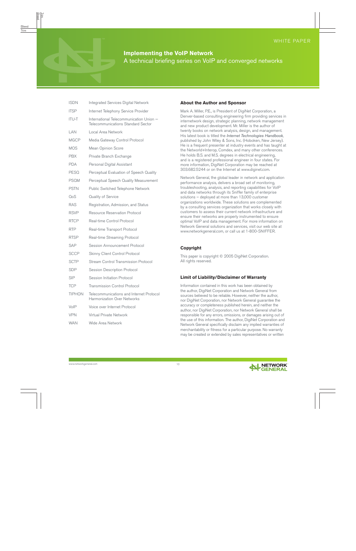ISDN Integrated Services Digital Network ITSP Internet Telephony Service Provider ITU-T International Telecommunication Union -Telecommunications Standard Sector LAN Local Area Network MGCP Media Gateway Control Protocol MOS Mean Opinion Score PBX Private Branch Exchange PDA Personal Digital Assistant PESQ Perceptual Evaluation of Speech Quality PSQM Perceptual Speech Quality Measurement PSTN Public Switched Telephone Network QoS Quality of Service RAS Registration, Admission, and Status RSVP Resource Reservation Protocol RTCP Real-time Control Protocol RTP Real-time Transport Protocol RTSP Real-time Streaming Protocol SAP Session Announcement Protocol SCCP Skinny Client Control Protocol SCTP Stream Control Transmission Protocol SDP Session Description Protocol SIP Session Initiation Protocol TCP Transmission Control Protocol TIPHON Telecommunications and Internet Protocol Harmonization Over Networks VoIP Voice over Internet Protocol VPN Virtual Private Network WAN Wide Area Network

#### **About the Author and Sponsor**

Mark A. Miller, P.E., is President of DigiNet Corporation, a Denver-based consulting engineering firm providing services in internetwork design, strategic planning, network management and new product development. Mr. Miller is the author of twenty books on network analysis, design, and management. His latest book is titled the *Internet Technologies Handbook*, published by John Wiley & Sons, Inc. (Hoboken, New Jersey). He is a frequent presenter at industry events and has taught at the Networld+Interop, Comdex, and many other conferences. He holds B.S. and M.S. degrees in electrical engineering, and is a registered professional engineer in four states. For more information, DigiNet Corporation may be reached at 303.682.5244 or on the Internet at www.diginet.com.

Network General, the global leader in network and application performance analysis, delivers a broad set of monitoring, troubleshooting, analysis, and reporting capabilities for VoIP and data networks through its Sniffer family of enterprise solutions – deployed at more than 13,000 customer organizations worldwide. These solutions are complemented by a consulting services organization that works closely with customers to assess their current network infrastructure and ensure their networks are properly instrumented to ensure optimal VoIP and data management. For more information on Network General solutions and services, visit our web site at www.networkgeneral.com, or call us at 1-800-SNIFFER.

#### **Copyright**

This paper is copyright © 2005 DigiNet Corporation. All rights reserved.

#### **Limit of Liability/Disclaimer of Warranty**

Information contained in this work has been obtained by the author, DigiNet Corporation and Network General from sources believed to be reliable. However, neither the author, nor DigiNet Corporation, nor Network General guarantee the accuracy or completeness published herein, and neither the author, nor DigiNet Corporation, nor Network General shall be responsible for any errors, omissions, or damages arising out of the use of this information. The author, DigiNet Corporation and Network General specifically disclaim any implied warranties of merchantability or fitness for a particular purpose. No warranty may be created or extended by sales representatives or written